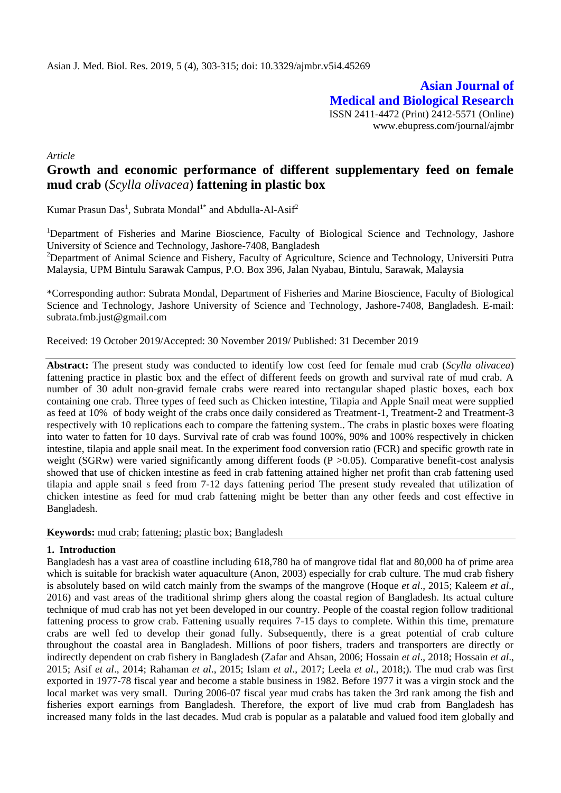**Asian Journal of Medical and Biological Research** ISSN 2411-4472 (Print) 2412-5571 (Online) www.ebupress.com/journal/ajmbr

*Article*

# **Growth and economic performance of different supplementary feed on female mud crab** (*Scylla olivacea*) **fattening in plastic box**

Kumar Prasun Das<sup>1</sup>, Subrata Mondal<sup>1\*</sup> and Abdulla-Al-Asif<sup>2</sup>

<sup>1</sup>Department of Fisheries and Marine Bioscience, Faculty of Biological Science and Technology, Jashore University of Science and Technology, Jashore-7408, Bangladesh

<sup>2</sup>Department of Animal Science and Fishery, Faculty of Agriculture, Science and Technology, Universiti Putra Malaysia, UPM Bintulu Sarawak Campus, P.O. Box 396, Jalan Nyabau, Bintulu, Sarawak, Malaysia

\*Corresponding author: Subrata Mondal, Department of Fisheries and Marine Bioscience, Faculty of Biological Science and Technology, Jashore University of Science and Technology, Jashore-7408, Bangladesh. E-mail: [subrata.fmb.just@gmail.com](mailto:subrata.fmb.just@gmail.com)

Received: 19 October 2019/Accepted: 30 November 2019/ Published: 31 December 2019

**Abstract:** The present study was conducted to identify low cost feed for female mud crab (*Scylla olivacea*) fattening practice in plastic box and the effect of different feeds on growth and survival rate of mud crab. A number of 30 adult non-gravid female crabs were reared into rectangular shaped plastic boxes, each box containing one crab. Three types of feed such as Chicken intestine, Tilapia and Apple Snail meat were supplied as feed at 10% of body weight of the crabs once daily considered as Treatment-1, Treatment-2 and Treatment-3 respectively with 10 replications each to compare the fattening system.. The crabs in plastic boxes were floating into water to fatten for 10 days. Survival rate of crab was found 100%, 90% and 100% respectively in chicken intestine, tilapia and apple snail meat. In the experiment food conversion ratio (FCR) and specific growth rate in weight (SGRw) were varied significantly among different foods (P > 0.05). Comparative benefit-cost analysis showed that use of chicken intestine as feed in crab fattening attained higher net profit than crab fattening used tilapia and apple snail s feed from 7-12 days fattening period The present study revealed that utilization of chicken intestine as feed for mud crab fattening might be better than any other feeds and cost effective in Bangladesh.

**Keywords:** mud crab; fattening; plastic box; Bangladesh

#### **1. Introduction**

Bangladesh has a vast area of coastline including 618,780 ha of mangrove tidal flat and 80,000 ha of prime area which is suitable for brackish water aquaculture (Anon, 2003) especially for crab culture. The mud crab fishery is absolutely based on wild catch mainly from the swamps of the mangrove (Hoque *et al*., 2015; Kaleem *et al*., 2016) and vast areas of the traditional shrimp ghers along the coastal region of Bangladesh. Its actual culture technique of mud crab has not yet been developed in our country. People of the coastal region follow traditional fattening process to grow crab. Fattening usually requires 7-15 days to complete. Within this time, premature crabs are well fed to develop their gonad fully. Subsequently, there is a great potential of crab culture throughout the coastal area in Bangladesh. Millions of poor fishers, traders and transporters are directly or indirectly dependent on crab fishery in Bangladesh (Zafar and Ahsan, 2006; Hossain *et al*., 2018; Hossain *et al*., 2015; Asif *et al*., 2014; Rahaman *et al*., 2015; Islam *et al*., 2017; Leela *et al*., 2018;). The mud crab was first exported in 1977-78 fiscal year and become a stable business in 1982. Before 1977 it was a virgin stock and the local market was very small. During 2006-07 fiscal year mud crabs has taken the 3rd rank among the fish and fisheries export earnings from Bangladesh. Therefore, the export of live mud crab from Bangladesh has increased many folds in the last decades. Mud crab is popular as a palatable and valued food item globally and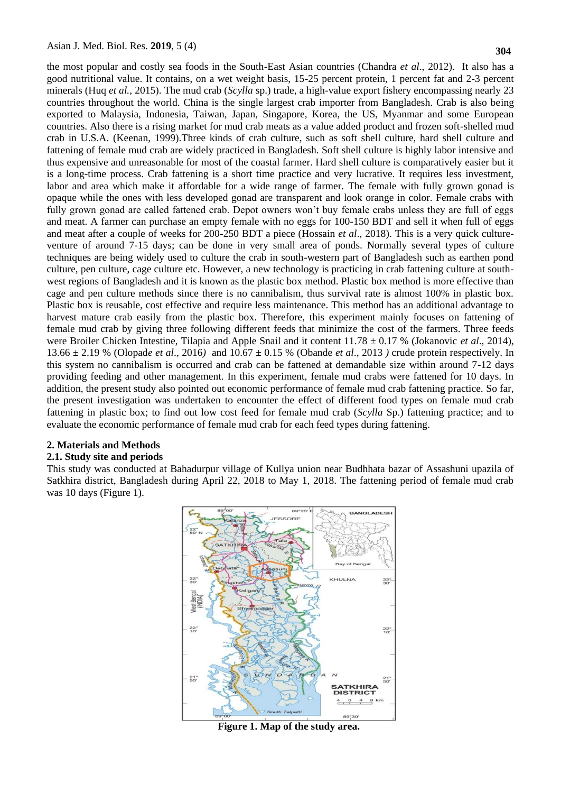the most popular and costly sea foods in the South-East Asian countries (Chandra *et al*., 2012). It also has a good nutritional value. It contains, on a wet weight basis, 15-25 percent protein, 1 percent fat and 2-3 percent minerals (Huq *et al.,* 2015). The mud crab (*Scylla* sp.) trade, a high-value export fishery encompassing nearly 23 countries throughout the world. China is the single largest crab importer from Bangladesh. Crab is also being exported to Malaysia, Indonesia, Taiwan, Japan, Singapore, Korea, the US, Myanmar and some European countries. Also there is a rising market for mud crab meats as a value added product and frozen soft-shelled mud crab in U.S.A. (Keenan, 1999).Three kinds of crab culture, such as soft shell culture, hard shell culture and fattening of female mud crab are widely practiced in Bangladesh. Soft shell culture is highly labor intensive and thus expensive and unreasonable for most of the coastal farmer. Hard shell culture is comparatively easier but it is a long-time process. Crab fattening is a short time practice and very lucrative. It requires less investment, labor and area which make it affordable for a wide range of farmer. The female with fully grown gonad is opaque while the ones with less developed gonad are transparent and look orange in color. Female crabs with fully grown gonad are called fattened crab. Depot owners won't buy female crabs unless they are full of eggs and meat. A farmer can purchase an empty female with no eggs for 100-150 BDT and sell it when full of eggs and meat after a couple of weeks for 200-250 BDT a piece (Hossain *et al*., 2018). This is a very quick cultureventure of around 7-15 days; can be done in very small area of ponds. Normally several types of culture techniques are being widely used to culture the crab in south-western part of Bangladesh such as earthen pond culture, pen culture, cage culture etc. However, a new technology is practicing in crab fattening culture at southwest regions of Bangladesh and it is known as the plastic box method. Plastic box method is more effective than cage and pen culture methods since there is no cannibalism, thus survival rate is almost 100% in plastic box. Plastic box is reusable, cost effective and require less maintenance. This method has an additional advantage to harvest mature crab easily from the plastic box. Therefore, this experiment mainly focuses on fattening of female mud crab by giving three following different feeds that minimize the cost of the farmers. Three feeds were Broiler Chicken Intestine, Tilapia and Apple Snail and it content 11.78 ± 0.17 % (Jokanovic *et al*., 2014), 13.66 ± 2.19 % (Olopad*e et al*., 2016*)* and 10.67 ± 0.15 % (Obande *et al*., 2013 *)* crude protein respectively. In this system no cannibalism is occurred and crab can be fattened at demandable size within around 7-12 days providing feeding and other management. In this experiment, female mud crabs were fattened for 10 days. In addition, the present study also pointed out economic performance of female mud crab fattening practice. So far, the present investigation was undertaken to encounter the effect of different food types on female mud crab fattening in plastic box; to find out low cost feed for female mud crab (*Scylla* Sp.) fattening practice; and to evaluate the economic performance of female mud crab for each feed types during fattening.

#### **2. Materials and Methods**

#### **2.1. Study site and periods**

This study was conducted at Bahadurpur village of Kullya union near Budhhata bazar of Assashuni upazila of Satkhira district, Bangladesh during April 22, 2018 to May 1, 2018. The fattening period of female mud crab was 10 days (Figure 1).



**Figure 1. Map of the study area.**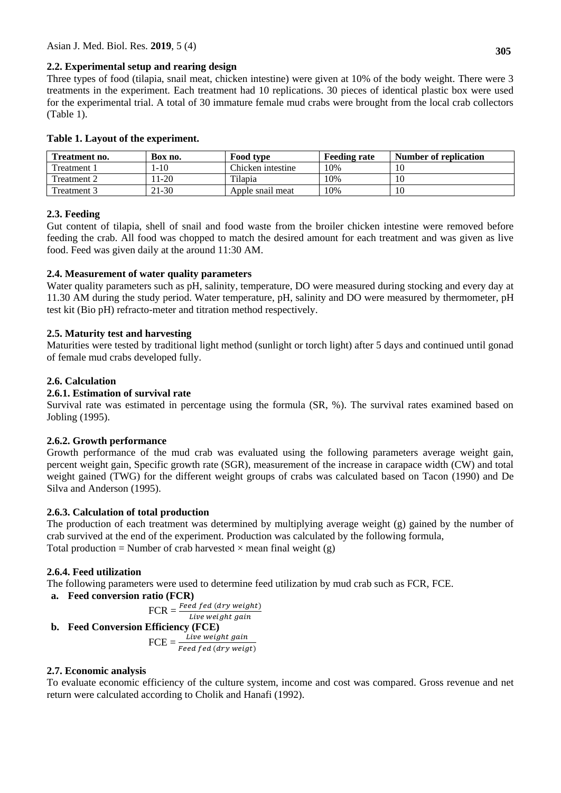### **2.2. Experimental setup and rearing design**

Three types of food (tilapia, snail meat, chicken intestine) were given at 10% of the body weight. There were 3 treatments in the experiment. Each treatment had 10 replications. 30 pieces of identical plastic box were used for the experimental trial. A total of 30 immature female mud crabs were brought from the local crab collectors (Table 1).

| Treatment no. | Box no. | Food type         | <b>Feeding rate</b> | Number of replication |
|---------------|---------|-------------------|---------------------|-----------------------|
| Treatment 1   | $-10$   | Chicken intestine | 10%                 | 10                    |
| Treatment 2   | $1-20$  | Tilapia           | 10%                 | 10                    |
| Treatment 3   | 21-30   | Apple snail meat  | 10%                 | 10                    |

## **Table 1. Layout of the experiment.**

### **2.3. Feeding**

Gut content of tilapia, shell of snail and food waste from the broiler chicken intestine were removed before feeding the crab. All food was chopped to match the desired amount for each treatment and was given as live food. Feed was given daily at the around 11:30 AM.

## **2.4. Measurement of water quality parameters**

Water quality parameters such as pH, salinity, temperature, DO were measured during stocking and every day at 11.30 AM during the study period. Water temperature, pH, salinity and DO were measured by thermometer, pH test kit (Bio pH) refracto-meter and titration method respectively.

## **2.5. Maturity test and harvesting**

Maturities were tested by traditional light method (sunlight or torch light) after 5 days and continued until gonad of female mud crabs developed fully.

## **2.6. Calculation**

### **2.6.1. Estimation of survival rate**

Survival rate was estimated in percentage using the formula (SR, %). The survival rates examined based on Jobling (1995).

### **2.6.2. Growth performance**

Growth performance of the mud crab was evaluated using the following parameters average weight gain, percent weight gain, Specific growth rate (SGR), measurement of the increase in carapace width (CW) and total weight gained (TWG) for the different weight groups of crabs was calculated based on Tacon (1990) and De Silva and Anderson (1995).

### **2.6.3. Calculation of total production**

The production of each treatment was determined by multiplying average weight (g) gained by the number of crab survived at the end of the experiment. Production was calculated by the following formula, Total production = Number of crab harvested  $\times$  mean final weight (g)

### **2.6.4. Feed utilization**

The following parameters were used to determine feed utilization by mud crab such as FCR, FCE.

**a. Feed conversion ratio (FCR)**

$$
FCR = \frac{Feed fed (dry weight)}{Live weight gain}
$$
  
**Efficiency (FCE)**  

$$
FCE = \frac{Live weight gain}{Feed fed (dry weight)}
$$

### **2.7. Economic analysis**

**b. Feed Conversion** 

To evaluate economic efficiency of the culture system, income and cost was compared. Gross revenue and net return were calculated according to Cholik and Hanafi (1992).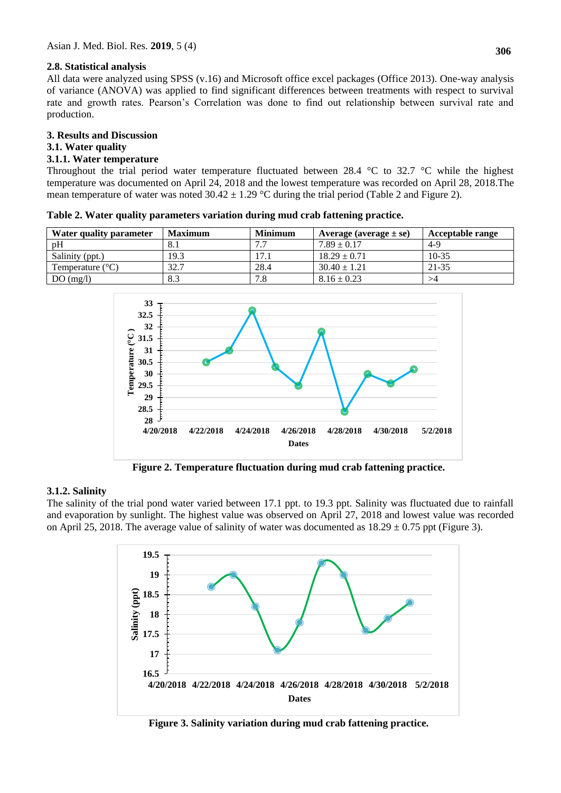#### **2.8. Statistical analysis**

All data were analyzed using SPSS (v.16) and Microsoft office excel packages (Office 2013). One-way analysis of variance (ANOVA) was applied to find significant differences between treatments with respect to survival rate and growth rates. Pearson's Correlation was done to find out relationship between survival rate and production.

#### **3. Results and Discussion**

#### **3.1. Water quality**

#### **3.1.1. Water temperature**

Throughout the trial period water temperature fluctuated between 28.4  $\degree$ C to 32.7  $\degree$ C while the highest temperature was documented on April 24, 2018 and the lowest temperature was recorded on April 28, 2018.The mean temperature of water was noted  $30.42 \pm 1.29$  °C during the trial period (Table 2 and Figure 2).

| Water quality parameter   | <b>Maximum</b> | <b>Minimum</b> | Average (average $\pm$ se) | <b>Acceptable range</b> |
|---------------------------|----------------|----------------|----------------------------|-------------------------|
| pH                        | 8.1            | 77             | $7.89 \pm 0.17$            | $4-9$                   |
| Salinity (ppt.)           | 19.3           | 17.1           | $18.29 \pm 0.71$           | $10-35$                 |
| Temperature $(^{\circ}C)$ | 32.7           | 28.4           | $30.40 \pm 1.21$           | 21-35                   |
| DO(mg/l)                  | 8.3            | 7.8            | $8.16 \pm 0.23$            | >4                      |

**Table 2. Water quality parameters variation during mud crab fattening practice.**



**Figure 2. Temperature fluctuation during mud crab fattening practice.**

### **3.1.2. Salinity**

The salinity of the trial pond water varied between 17.1 ppt. to 19.3 ppt. Salinity was fluctuated due to rainfall and evaporation by sunlight. The highest value was observed on April 27, 2018 and lowest value was recorded on April 25, 2018. The average value of salinity of water was documented as  $18.29 \pm 0.75$  ppt (Figure 3).



**Figure 3. Salinity variation during mud crab fattening practice.**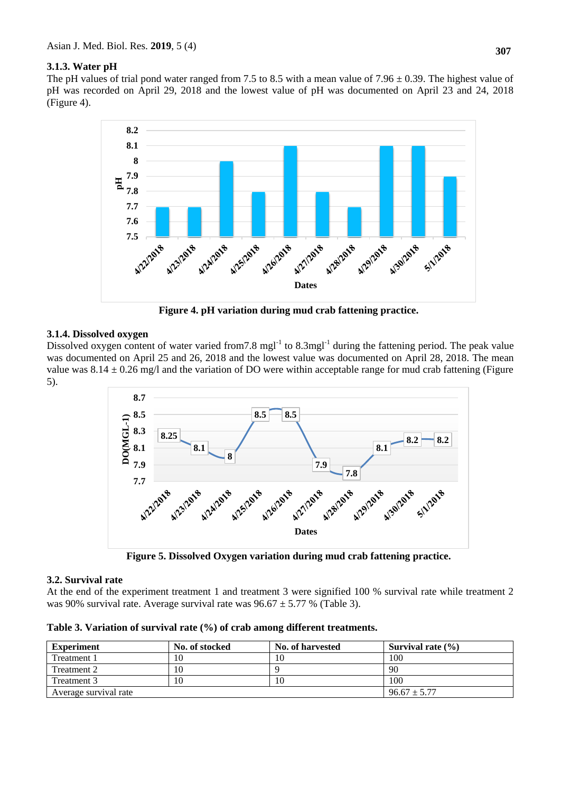### **3.1.3. Water pH**

The pH values of trial pond water ranged from 7.5 to 8.5 with a mean value of 7.96  $\pm$  0.39. The highest value of pH was recorded on April 29, 2018 and the lowest value of pH was documented on April 23 and 24, 2018 (Figure 4).



**Figure 4. pH variation during mud crab fattening practice.**

#### **3.1.4. Dissolved oxygen**

Dissolved oxygen content of water varied from 7.8 mgl<sup>-1</sup> to 8.3mgl<sup>-1</sup> during the fattening period. The peak value was documented on April 25 and 26, 2018 and the lowest value was documented on April 28, 2018. The mean value was  $8.14 \pm 0.26$  mg/l and the variation of DO were within acceptable range for mud crab fattening (Figure 5).



**Figure 5. Dissolved Oxygen variation during mud crab fattening practice.**

#### **3.2. Survival rate**

At the end of the experiment treatment 1 and treatment 3 were signified 100 % survival rate while treatment 2 was 90% survival rate. Average survival rate was  $96.67 \pm 5.77$  % (Table 3).

| Table 3. Variation of survival rate (%) of crab among different treatments. |  |  |  |  |  |  |  |  |
|-----------------------------------------------------------------------------|--|--|--|--|--|--|--|--|
|-----------------------------------------------------------------------------|--|--|--|--|--|--|--|--|

| <b>Experiment</b>     | No. of stocked   | No. of harvested | Survival rate $(\% )$ |
|-----------------------|------------------|------------------|-----------------------|
| Treatment 1           | 10               |                  | 100                   |
| Treatment 2           | 10               |                  | 90                    |
| Treatment 3           | 10               |                  | 100                   |
| Average survival rate | $96.67 \pm 5.77$ |                  |                       |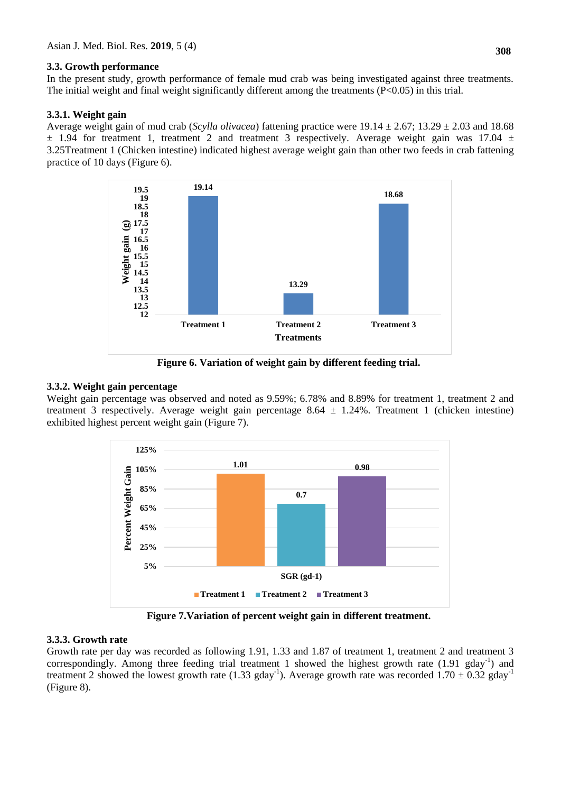#### **3.3. Growth performance**

In the present study, growth performance of female mud crab was being investigated against three treatments. The initial weight and final weight significantly different among the treatments (P<0.05) in this trial.

#### **3.3.1. Weight gain**

Average weight gain of mud crab (*Scylla olivacea*) fattening practice were  $19.14 \pm 2.67$ ;  $13.29 \pm 2.03$  and 18.68 ± 1.94 for treatment 1, treatment 2 and treatment 3 respectively. Average weight gain was 17.04 ± 3.25Treatment 1 (Chicken intestine) indicated highest average weight gain than other two feeds in crab fattening practice of 10 days (Figure 6).



**Figure 6. Variation of weight gain by different feeding trial.**

#### **3.3.2. Weight gain percentage**

Weight gain percentage was observed and noted as 9.59%; 6.78% and 8.89% for treatment 1, treatment 2 and treatment 3 respectively. Average weight gain percentage  $8.64 \pm 1.24\%$ . Treatment 1 (chicken intestine) exhibited highest percent weight gain (Figure 7).



**Figure 7.Variation of percent weight gain in different treatment.**

#### **3.3.3. Growth rate**

Growth rate per day was recorded as following 1.91, 1.33 and 1.87 of treatment 1, treatment 2 and treatment 3 correspondingly. Among three feeding trial treatment 1 showed the highest growth rate  $(1.91 \text{ gday}^{-1})$  and treatment 2 showed the lowest growth rate (1.33 gday<sup>-1</sup>). Average growth rate was recorded 1.70  $\pm$  0.32 gday<sup>-1</sup> (Figure 8).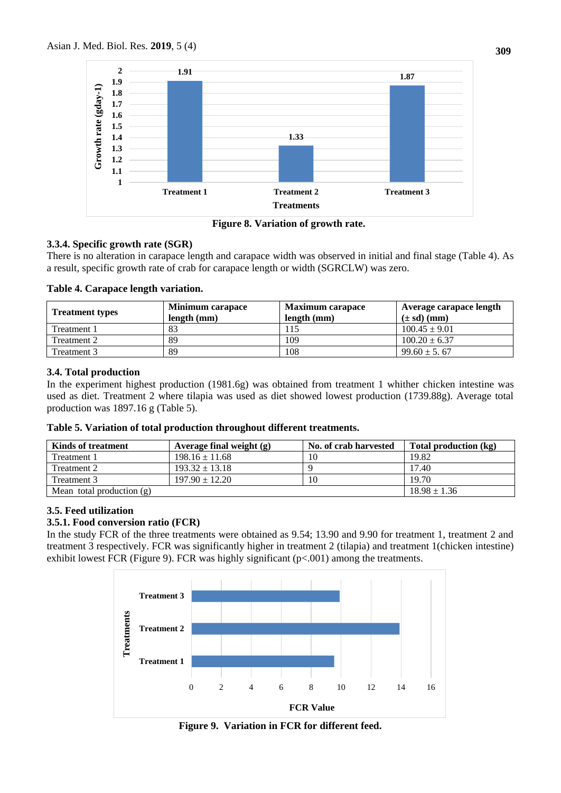

**Figure 8. Variation of growth rate.**

## **3.3.4. Specific growth rate (SGR)**

There is no alteration in carapace length and carapace width was observed in initial and final stage (Table 4). As a result, specific growth rate of crab for carapace length or width (SGRCLW) was zero.

|  | Table 4. Carapace length variation. |
|--|-------------------------------------|
|  |                                     |

| <b>Treatment types</b> | <b>Minimum carapace</b><br>length (mm) | <b>Maximum carapace</b><br>length (mm) | Average carapace length<br>$(\pm sd)$ (mm) |
|------------------------|----------------------------------------|----------------------------------------|--------------------------------------------|
| Treatment 1            | 83                                     |                                        | $100.45 \pm 9.01$                          |
| Treatment 2            | 89                                     | 109                                    | $100.20 \pm 6.37$                          |
| Treatment 3            | 89                                     | 108                                    | $99.60 \pm 5.67$                           |

## **3.4. Total production**

In the experiment highest production (1981.6g) was obtained from treatment 1 whither chicken intestine was used as diet. Treatment 2 where tilapia was used as diet showed lowest production (1739.88g). Average total production was 1897.16 g (Table 5).

|  | Table 5. Variation of total production throughout different treatments. |  |  |
|--|-------------------------------------------------------------------------|--|--|
|  |                                                                         |  |  |

| <b>Kinds of treatment</b>   | Average final weight $(g)$ | No. of crab harvested | Total production (kg) |
|-----------------------------|----------------------------|-----------------------|-----------------------|
| Treatment 1                 | $198.16 \pm 11.68$         | 10                    | 19.82                 |
| Treatment 2                 | $193.32 \pm 13.18$         |                       | 17.40                 |
| Treatment 3                 | $197.90 \pm 12.20$         | 10                    | 19.70                 |
| Mean total production $(g)$ |                            |                       | $18.98 \pm 1.36$      |

## **3.5. Feed utilization**

### **3.5.1. Food conversion ratio (FCR)**

In the study FCR of the three treatments were obtained as 9.54; 13.90 and 9.90 for treatment 1, treatment 2 and treatment 3 respectively. FCR was significantly higher in treatment 2 (tilapia) and treatment 1(chicken intestine) exhibit lowest FCR (Figure 9). FCR was highly significant  $(p<0.001)$  among the treatments.



**Figure 9. Variation in FCR for different feed.**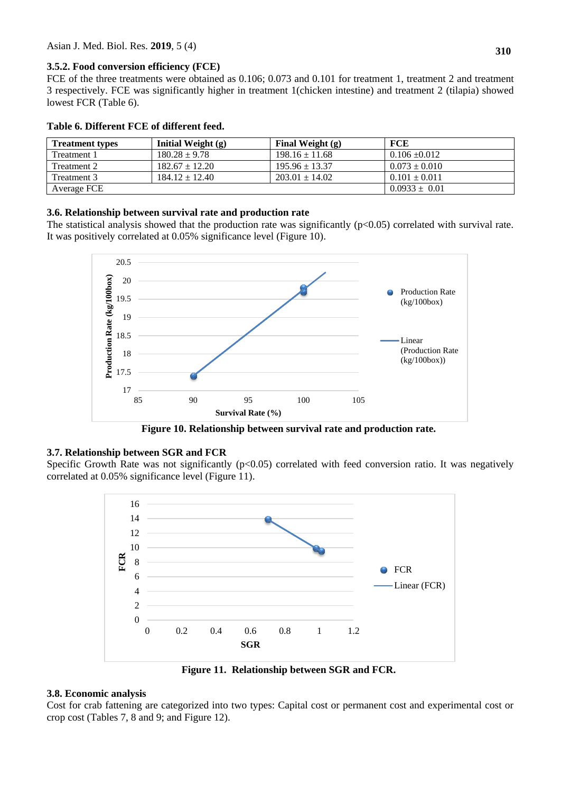**3.5.2. Food conversion efficiency (FCE)**

FCE of the three treatments were obtained as 0.106; 0.073 and 0.101 for treatment 1, treatment 2 and treatment 3 respectively. FCE was significantly higher in treatment 1(chicken intestine) and treatment 2 (tilapia) showed lowest FCR (Table 6).

| abic v. Dhigight i CL vi unicignt iggu. |                      |                    |                   |  |  |  |
|-----------------------------------------|----------------------|--------------------|-------------------|--|--|--|
| <b>Treatment types</b>                  | Initial Weight $(g)$ | Final Weight $(g)$ | <b>FCE</b>        |  |  |  |
| Treatment 1                             | $180.28 \pm 9.78$    | $198.16 \pm 11.68$ | $0.106 \pm 0.012$ |  |  |  |
| Treatment 2                             | $182.67 \pm 12.20$   | $195.96 \pm 13.37$ | $0.073 \pm 0.010$ |  |  |  |
| Treatment 3                             | $184.12 \pm 12.40$   | $203.01 \pm 14.02$ | $0.101 \pm 0.011$ |  |  |  |
| Average FCE                             |                      |                    | $0.0933 \pm 0.01$ |  |  |  |

## **Table 6. Different FCE of different feed.**

#### **3.6. Relationship between survival rate and production rate**

The statistical analysis showed that the production rate was significantly  $(p<0.05)$  correlated with survival rate. It was positively correlated at 0.05% significance level (Figure 10).



**Figure 10. Relationship between survival rate and production rate.**

#### **3.7. Relationship between SGR and FCR**

Specific Growth Rate was not significantly  $(p<0.05)$  correlated with feed conversion ratio. It was negatively correlated at 0.05% significance level (Figure 11).



**Figure 11. Relationship between SGR and FCR.**

#### **3.8. Economic analysis**

Cost for crab fattening are categorized into two types: Capital cost or permanent cost and experimental cost or crop cost (Tables 7, 8 and 9; and Figure 12).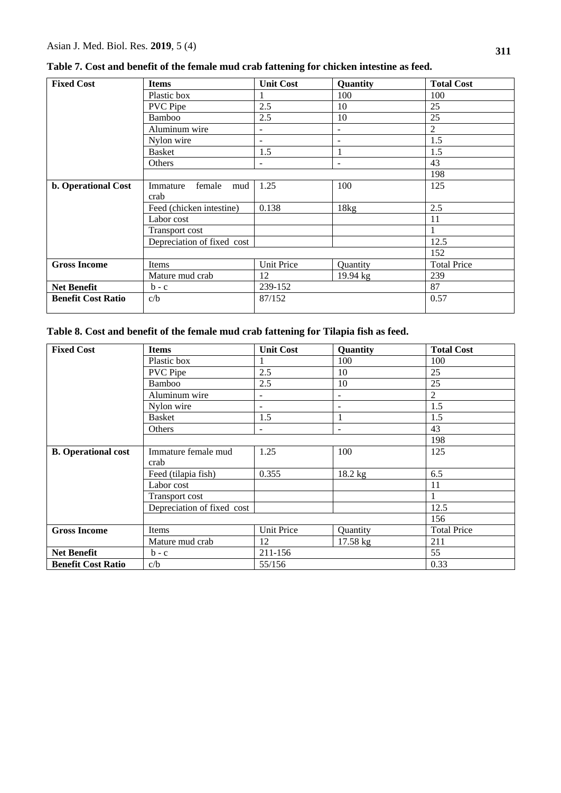| <b>Fixed Cost</b>         | <b>Items</b>               | <b>Unit Cost</b>         | <b>Quantity</b>          | <b>Total Cost</b>  |
|---------------------------|----------------------------|--------------------------|--------------------------|--------------------|
|                           | Plastic box                |                          | 100                      | 100                |
|                           | <b>PVC</b> Pipe            | 2.5                      | 10                       | 25                 |
|                           | Bamboo                     | 2.5                      | 10                       | 25                 |
|                           | Aluminum wire              | $\overline{\phantom{a}}$ | $\overline{\phantom{a}}$ | $\overline{2}$     |
|                           | Nylon wire                 | $\qquad \qquad -$        | $\overline{\phantom{a}}$ | 1.5                |
|                           | <b>Basket</b>              | 1.5                      | 1                        | 1.5                |
|                           | Others                     |                          | $\overline{\phantom{a}}$ | 43                 |
|                           |                            |                          |                          | 198                |
| b. Operational Cost       | female<br>Immature<br>mud  | 1.25                     | 100                      | 125                |
|                           | crab                       |                          |                          |                    |
|                           | Feed (chicken intestine)   | 0.138                    | 18kg                     | 2.5                |
|                           | Labor cost                 |                          |                          | 11                 |
|                           | Transport cost             |                          |                          |                    |
|                           | Depreciation of fixed cost |                          |                          | 12.5               |
|                           |                            |                          |                          | 152                |
| <b>Gross Income</b>       | Items                      | <b>Unit Price</b>        | Quantity                 | <b>Total Price</b> |
|                           | Mature mud crab            | 12                       | 19.94 kg                 | 239                |
| <b>Net Benefit</b>        | $b - c$                    | 239-152                  |                          | 87                 |
| <b>Benefit Cost Ratio</b> | c/b                        | 87/152                   |                          | 0.57               |
|                           |                            |                          |                          |                    |

**Table 7. Cost and benefit of the female mud crab fattening for chicken intestine as feed.**

# **Table 8. Cost and benefit of the female mud crab fattening for Tilapia fish as feed.**

| <b>Fixed Cost</b>          | <b>Items</b>               | <b>Unit Cost</b>         | Quantity                 | <b>Total Cost</b>  |
|----------------------------|----------------------------|--------------------------|--------------------------|--------------------|
|                            | Plastic box                |                          | 100                      | 100                |
|                            | <b>PVC</b> Pipe            | 2.5                      | 10                       | 25                 |
|                            | Bamboo                     | 2.5                      | 10                       | 25                 |
|                            | Aluminum wire              | $\overline{\phantom{0}}$ | ÷                        | 2                  |
|                            | Nylon wire                 | $\blacksquare$           | $\overline{\phantom{0}}$ | 1.5                |
|                            | <b>Basket</b>              | 1.5                      |                          | 1.5                |
|                            | <b>Others</b>              | $\blacksquare$           | $\sim$                   | 43                 |
|                            |                            |                          |                          | 198                |
| <b>B.</b> Operational cost | Immature female mud        | 1.25                     | 100                      | 125                |
|                            | crab                       |                          |                          |                    |
|                            | Feed (tilapia fish)        | 0.355                    | 18.2 kg                  | 6.5                |
|                            | Labor cost                 |                          |                          | 11                 |
|                            | Transport cost             |                          |                          |                    |
|                            | Depreciation of fixed cost |                          |                          | 12.5               |
|                            |                            |                          |                          | 156                |
| <b>Gross Income</b>        | Items                      | <b>Unit Price</b>        | Quantity                 | <b>Total Price</b> |
|                            | Mature mud crab            | 12                       | 17.58 kg                 | 211                |
| <b>Net Benefit</b>         | $b - c$                    | 211-156                  |                          | 55                 |
| <b>Benefit Cost Ratio</b>  | c/b                        | 55/156                   |                          | 0.33               |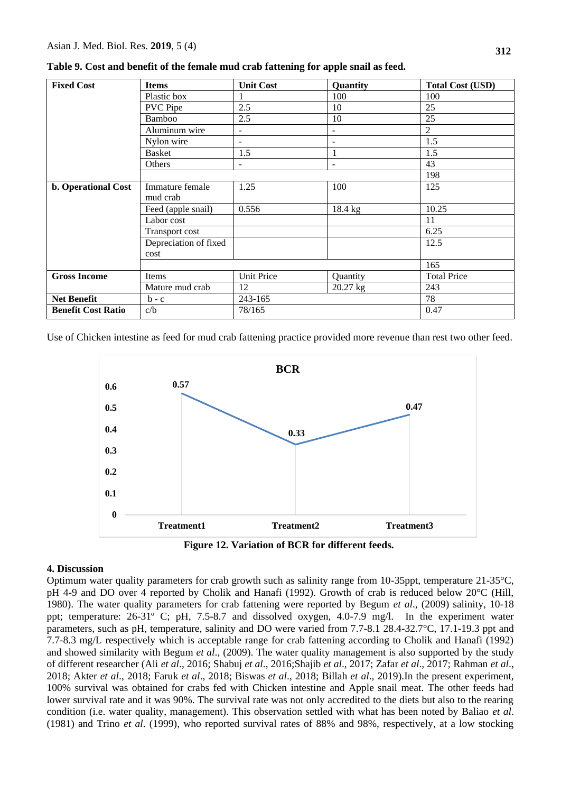| <b>Fixed Cost</b>          | <b>Items</b>                | <b>Unit Cost</b>         | Quantity   | <b>Total Cost (USD)</b> |
|----------------------------|-----------------------------|--------------------------|------------|-------------------------|
|                            | Plastic box                 |                          | 100        | 100                     |
|                            | <b>PVC</b> Pipe             | 2.5                      | 10         | 25                      |
|                            | Bamboo                      | 2.5                      | 10         | 25                      |
|                            | Aluminum wire               | $\blacksquare$           |            | $\overline{2}$          |
|                            | Nylon wire                  | $\overline{\phantom{a}}$ |            | 1.5                     |
|                            | <b>Basket</b>               | 1.5                      |            | 1.5                     |
|                            | Others                      | ۰                        | -          | 43                      |
|                            |                             |                          |            | 198                     |
| <b>b.</b> Operational Cost | Immature female<br>mud crab | 1.25                     | 100        | 125                     |
|                            | Feed (apple snail)          | 0.556                    | 18.4 kg    | 10.25                   |
|                            | Labor cost                  |                          |            | 11                      |
|                            | <b>Transport cost</b>       |                          |            | 6.25                    |
|                            | Depreciation of fixed       |                          |            | 12.5                    |
|                            | cost                        |                          |            |                         |
|                            |                             |                          |            | 165                     |
| <b>Gross Income</b>        | Items                       | <b>Unit Price</b>        | Quantity   | <b>Total Price</b>      |
|                            | Mature mud crab             | 12                       | $20.27$ kg | 243                     |
| <b>Net Benefit</b>         | $b - c$                     | 243-165                  |            | 78                      |
| <b>Benefit Cost Ratio</b>  | c/b                         | 78/165                   |            | 0.47                    |

**Table 9. Cost and benefit of the female mud crab fattening for apple snail as feed.**

Use of Chicken intestine as feed for mud crab fattening practice provided more revenue than rest two other feed.





#### **4. Discussion**

Optimum water quality parameters for crab growth such as salinity range from 10-35ppt, temperature 21-35°C, pH 4-9 and DO over 4 reported by Cholik and Hanafi (1992). Growth of crab is reduced below 20°C (Hill, 1980). The water quality parameters for crab fattening were reported by Begum *et al*., (2009) salinity, 10-18 ppt; temperature: 26-31º C; pH, 7.5-8.7 and dissolved oxygen, 4.0-7.9 mg/l. In the experiment water parameters, such as pH, temperature, salinity and DO were varied from 7.7-8.1 28.4-32.7°C, 17.1-19.3 ppt and 7.7-8.3 mg/L respectively which is acceptable range for crab fattening according to Cholik and Hanafi (1992) and showed similarity with Begum *et al*., (2009). The water quality management is also supported by the study of different researcher (Ali *et al*., 2016; Shabuj *et al*., 2016;Shajib *et al*., 2017; Zafar *et al*., 2017; Rahman *et al*., 2018; Akter *et al*., 2018; Faruk *et al*., 2018; Biswas *et al*., 2018; Billah *et al*., 2019).In the present experiment, 100% survival was obtained for crabs fed with Chicken intestine and Apple snail meat. The other feeds had lower survival rate and it was 90%. The survival rate was not only accredited to the diets but also to the rearing condition (i.e. water quality, management). This observation settled with what has been noted by Baliao *et al*. (1981) and Trino *et al*. (1999), who reported survival rates of 88% and 98%, respectively, at a low stocking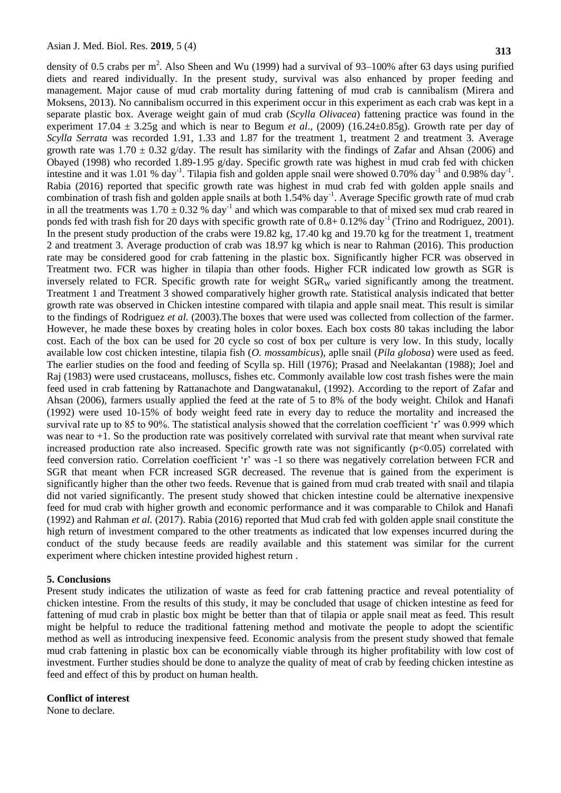density of 0.5 crabs per  $m^2$ . Also Sheen and Wu (1999) had a survival of 93–100% after 63 days using purified diets and reared individually. In the present study, survival was also enhanced by proper feeding and management. Major cause of mud crab mortality during fattening of mud crab is cannibalism (Mirera and Moksens, 2013). No cannibalism occurred in this experiment occur in this experiment as each crab was kept in a separate plastic box. Average weight gain of mud crab (*Scylla Olivacea*) fattening practice was found in the experiment 17.04 ± 3.25g and which is near to Begum *et al*., (2009) (16.24±0.85g). Growth rate per day of *Scylla Serrata* was recorded 1.91, 1.33 and 1.87 for the treatment 1, treatment 2 and treatment 3. Average growth rate was  $1.70 \pm 0.32$  g/day. The result has similarity with the findings of Zafar and Ahsan (2006) and Obayed (1998) who recorded 1.89-1.95 g/day. Specific growth rate was highest in mud crab fed with chicken intestine and it was 1.01 % day<sup>-1</sup>. Tilapia fish and golden apple snail were showed 0.70% day<sup>-1</sup> and 0.98% day<sup>-1</sup>. Rabia (2016) reported that specific growth rate was highest in mud crab fed with golden apple snails and combination of trash fish and golden apple snails at both 1.54% day<sup>-1</sup>. Average Specific growth rate of mud crab in all the treatments was  $1.70 \pm 0.32$  % day<sup>-1</sup> and which was comparable to that of mixed sex mud crab reared in ponds fed with trash fish for 20 days with specific growth rate of  $0.8+0.12\%$  day<sup>-1</sup> (Trino and Rodriguez, 2001). In the present study production of the crabs were 19.82 kg, 17.40 kg and 19.70 kg for the treatment 1, treatment 2 and treatment 3. Average production of crab was 18.97 kg which is near to Rahman (2016). This production rate may be considered good for crab fattening in the plastic box. Significantly higher FCR was observed in Treatment two. FCR was higher in tilapia than other foods. Higher FCR indicated low growth as SGR is inversely related to FCR. Specific growth rate for weight  $SGR<sub>W</sub>$  varied significantly among the treatment. Treatment 1 and Treatment 3 showed comparatively higher growth rate. Statistical analysis indicated that better growth rate was observed in Chicken intestine compared with tilapia and apple snail meat. This result is similar to the findings of Rodriguez *et al.* (2003).The boxes that were used was collected from collection of the farmer. However, he made these boxes by creating holes in color boxes. Each box costs 80 takas including the labor cost. Each of the box can be used for 20 cycle so cost of box per culture is very low. In this study, locally available low cost chicken intestine, tilapia fish (*O. mossambicus*), aplle snail (*Pila globosa*) were used as feed. The earlier studies on the food and feeding of Scylla sp. Hill (1976); Prasad and Neelakantan (1988); Joel and Raj (1983) were used crustaceans, molluscs, fishes etc. Commonly available low cost trash fishes were the main feed used in crab fattening by Rattanachote and Dangwatanakul, (1992). According to the report of Zafar and Ahsan (2006), farmers usually applied the feed at the rate of 5 to 8% of the body weight. Chilok and Hanafi (1992) were used 10-15% of body weight feed rate in every day to reduce the mortality and increased the survival rate up to 85 to 90%. The statistical analysis showed that the correlation coefficient 'r' was 0.999 which was near to +1. So the production rate was positively correlated with survival rate that meant when survival rate increased production rate also increased. Specific growth rate was not significantly  $(p<0.05)$  correlated with feed conversion ratio. Correlation coefficient 'r' was -1 so there was negatively correlation between FCR and SGR that meant when FCR increased SGR decreased. The revenue that is gained from the experiment is significantly higher than the other two feeds. Revenue that is gained from mud crab treated with snail and tilapia did not varied significantly. The present study showed that chicken intestine could be alternative inexpensive feed for mud crab with higher growth and economic performance and it was comparable to Chilok and Hanafi (1992) and Rahman *et al.* (2017). Rabia (2016) reported that Mud crab fed with golden apple snail constitute the high return of investment compared to the other treatments as indicated that low expenses incurred during the conduct of the study because feeds are readily available and this statement was similar for the current experiment where chicken intestine provided highest return .

#### **5. Conclusions**

Present study indicates the utilization of waste as feed for crab fattening practice and reveal potentiality of chicken intestine. From the results of this study, it may be concluded that usage of chicken intestine as feed for fattening of mud crab in plastic box might be better than that of tilapia or apple snail meat as feed. This result might be helpful to reduce the traditional fattening method and motivate the people to adopt the scientific method as well as introducing inexpensive feed. Economic analysis from the present study showed that female mud crab fattening in plastic box can be economically viable through its higher profitability with low cost of investment. Further studies should be done to analyze the quality of meat of crab by feeding chicken intestine as feed and effect of this by product on human health.

#### **Conflict of interest**

None to declare.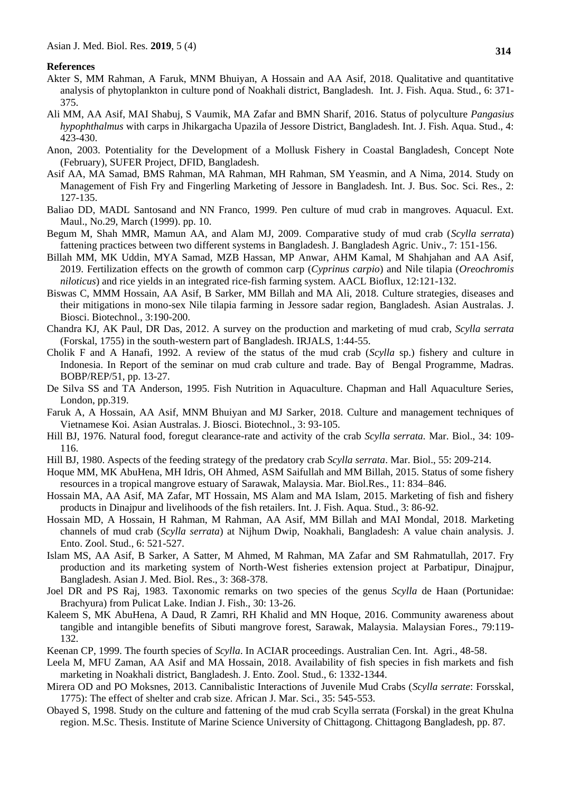#### **References**

- Akter S, MM Rahman, A Faruk, MNM Bhuiyan, A Hossain and AA Asif, 2018. Qualitative and quantitative analysis of phytoplankton in culture pond of Noakhali district, Bangladesh. Int. J. Fish. Aqua. Stud., 6: 371- 375.
- Ali MM, AA Asif, MAI Shabuj, S Vaumik, MA Zafar and BMN Sharif, 2016. Status of polyculture *Pangasius hypophthalmus* with carps in Jhikargacha Upazila of Jessore District, Bangladesh. Int. J. Fish. Aqua. Stud., 4: 423-430.
- Anon, 2003. Potentiality for the Development of a Mollusk Fishery in Coastal Bangladesh, Concept Note (February), SUFER Project, DFID, Bangladesh.
- Asif AA, MA Samad, BMS Rahman, MA Rahman, MH Rahman, SM Yeasmin, and A Nima, 2014. Study on Management of Fish Fry and Fingerling Marketing of Jessore in Bangladesh. Int. J. Bus. Soc. Sci. Res., 2: 127-135.
- Baliao DD, MADL Santosand and NN Franco, 1999. Pen culture of mud crab in mangroves. Aquacul. Ext. Maul., No.29, March (1999). pp. 10.
- Begum M, Shah MMR, Mamun AA, and Alam MJ, 2009. Comparative study of mud crab (*Scylla serrata*) fattening practices between two different systems in Bangladesh. J. Bangladesh Agric. Univ., 7: 151-156.
- Billah MM, MK Uddin, MYA Samad, MZB Hassan, MP Anwar, AHM Kamal, M Shahjahan and AA Asif, 2019. Fertilization effects on the growth of common carp (*Cyprinus carpio*) and Nile tilapia (*Oreochromis niloticus*) and rice yields in an integrated rice-fish farming system. AACL Bioflux, 12:121-132.
- Biswas C, MMM Hossain, AA Asif, B Sarker, MM Billah and MA Ali, 2018. Culture strategies, diseases and their mitigations in mono-sex Nile tilapia farming in Jessore sadar region, Bangladesh. Asian Australas. J. Biosci. Biotechnol., 3:190-200.
- Chandra KJ, AK Paul, DR Das, 2012. A survey on the production and marketing of mud crab, *Scylla serrata* (Forskal, 1755) in the south-western part of Bangladesh. IRJALS, 1:44-55.
- Cholik F and A Hanafi, 1992. A review of the status of the mud crab (*Scylla* sp.) fishery and culture in Indonesia. In Report of the seminar on mud crab culture and trade. Bay of Bengal Programme, Madras. BOBP/REP/51, pp. 13-27.
- De Silva SS and TA Anderson, 1995. Fish Nutrition in Aquaculture. Chapman and Hall Aquaculture Series, London, pp.319.
- Faruk A, A Hossain, AA Asif, MNM Bhuiyan and MJ Sarker, 2018. Culture and management techniques of Vietnamese Koi. Asian Australas. J. Biosci. Biotechnol., 3: 93-105.
- Hill BJ, 1976. Natural food, foregut clearance-rate and activity of the crab *Scylla serrata.* Mar. Biol., 34: 109- 116.
- Hill BJ, 1980. Aspects of the feeding strategy of the predatory crab *Scylla serrata*. Mar. Biol., 55: 209-214.
- Hoque MM, MK AbuHena, MH Idris, OH Ahmed, ASM Saifullah and MM Billah, 2015. Status of some fishery resources in a tropical mangrove estuary of Sarawak, Malaysia. Mar. Biol.Res., 11: 834–846.
- Hossain MA, AA Asif, MA Zafar, MT Hossain, MS Alam and MA Islam, 2015. Marketing of fish and fishery products in Dinajpur and livelihoods of the fish retailers. Int. J. Fish. Aqua. Stud., 3: 86-92.
- Hossain MD, A Hossain, H Rahman, M Rahman, AA Asif, MM Billah and MAI Mondal, 2018. Marketing channels of mud crab (*Scylla serrata*) at Nijhum Dwip, Noakhali, Bangladesh: A value chain analysis. J. Ento. Zool. Stud., 6: 521-527.
- Islam MS, AA Asif, B Sarker, A Satter, M Ahmed, M Rahman, MA Zafar and SM Rahmatullah, 2017. Fry production and its marketing system of North-West fisheries extension project at Parbatipur, Dinajpur, Bangladesh. Asian J. Med. Biol. Res., 3: 368-378.
- Joel DR and PS Raj, 1983. Taxonomic remarks on two species of the genus *Scylla* de Haan (Portunidae: Brachyura) from Pulicat Lake. Indian J. Fish., 30: 13-26.
- Kaleem S, MK AbuHena, A Daud, R Zamri, RH Khalid and MN Hoque, 2016. Community awareness about tangible and intangible benefits of Sibuti mangrove forest, Sarawak, Malaysia. Malaysian Fores., 79:119- 132.
- Keenan CP, 1999. The fourth species of *Scylla*. In ACIAR proceedings. Australian Cen. Int. Agri., 48-58.
- Leela M, MFU Zaman, AA Asif and MA Hossain, 2018. Availability of fish species in fish markets and fish marketing in Noakhali district, Bangladesh. J. Ento. Zool. Stud., 6: 1332-1344.
- Mirera OD and PO Moksnes, 2013. Cannibalistic Interactions of Juvenile Mud Crabs (*Scylla serrate*: Forsskal, 1775): The effect of shelter and crab size. African J. Mar. Sci., 35: 545-553.
- Obayed S, 1998. Study on the culture and fattening of the mud crab Scylla serrata (Forskal) in the great Khulna region. M.Sc. Thesis. Institute of Marine Science University of Chittagong. Chittagong Bangladesh, pp. 87.